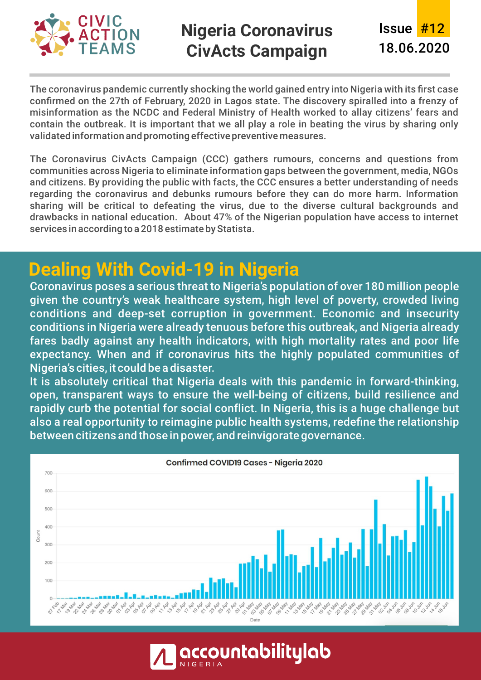

### **Nigeria Coronavirus CivActs Campaign**

The coronavirus pandemic currently shocking the world gained entry into Nigeria with its first case confirmed on the 27th of February, 2020 in Lagos state. The discovery spiralled into a frenzy of misinformation as the NCDC and Federal Ministry of Health worked to allay citizens' fears and contain the outbreak. It is important that we all play a role in beating the virus by sharing only validated information and promoting effective preventive measures.

The Coronavirus CivActs Campaign (CCC) gathers rumours, concerns and questions from communities across Nigeria to eliminate information gaps between the government, media, NGOs and citizens. By providing the public with facts, the CCC ensures a better understanding of needs regarding the coronavirus and debunks rumours before they can do more harm. Information sharing will be critical to defeating the virus, due to the diverse cultural backgrounds and drawbacks in national education. About 47% of the Nigerian population have access to internet services in according to a 2018 estimate by Statista.

## **Dealing With Covid-19 in Nigeria**

Coronavirus poses a serious threat to Nigeria's population of over 180 million people given the country's weak healthcare system, high level of poverty, crowded living conditions and deep-set corruption in government. Economic and insecurity conditions in Nigeria were already tenuous before this outbreak, and Nigeria already fares badly against any health indicators, with high mortality rates and poor life expectancy. When and if coronavirus hits the highly populated communities of Nigeria's cities, it could be a disaster.

It is absolutely critical that Nigeria deals with this pandemic in forward-thinking, open, transparent ways to ensure the well-being of citizens, build resilience and rapidly curb the potential for social conflict. In Nigeria, this is a huge challenge but also a real opportunity to reimagine public health systems, redefine the relationship between citizens and those in power, and reinvigorate governance.



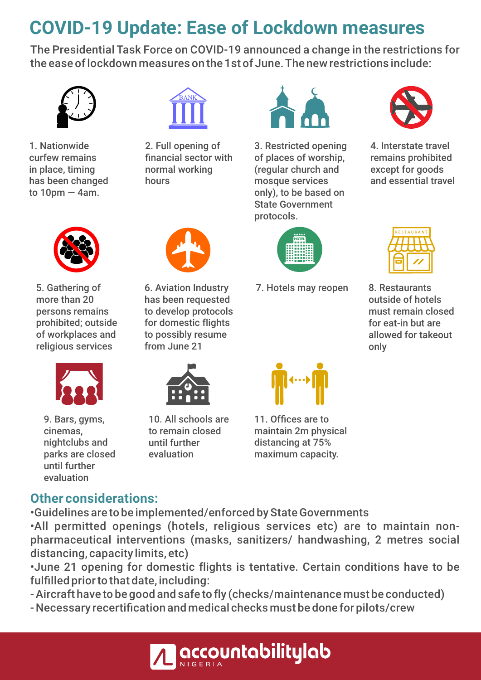# **COVID-19 Update: Ease of Lockdown measures**

The Presidential Task Force on COVID-19 announced a change in the restrictions for the ease of lockdown measures on the 1st of June. The new restrictions include:



1. Nationwide curfew remains in place, timing has been changed to  $10$ pm  $-$  4am.



2. Full opening of financial sector with normal working hours



3. Restricted opening of places of worship, (regular church and mosque services only), to be based on State Government protocols.

7. Hotels may reopen



4. Interstate travel remains prohibited except for goods and essential travel



5. Gathering of more than 20 persons remains prohibited; outside of workplaces and religious services



9. Bars, gyms, cinemas, nightclubs and parks are closed until further evaluation



6. Aviation Industry has been requested to develop protocols for domestic flights to possibly resume from June 21



10. All schools are to remain closed until further evaluation



8. Restaurants

outside of hotels must remain closed for eat-in but are allowed for takeout only



#### **Other considerations:**

• Guidelines are to be implemented/enforced by State Governments

• All permitted openings (hotels, religious services etc) are to maintain nonpharmaceutical interventions (masks, sanitizers/ handwashing, 2 metres social distancing, capacity limits, etc)

• June 21 opening for domestic flights is tentative. Certain conditions have to be fulfilled prior to that date, including:

- Aircraft have to be good and safe to fly (checks/maintenance must be conducted)
- Necessary recertification and medical checks must be done for pilots/crew

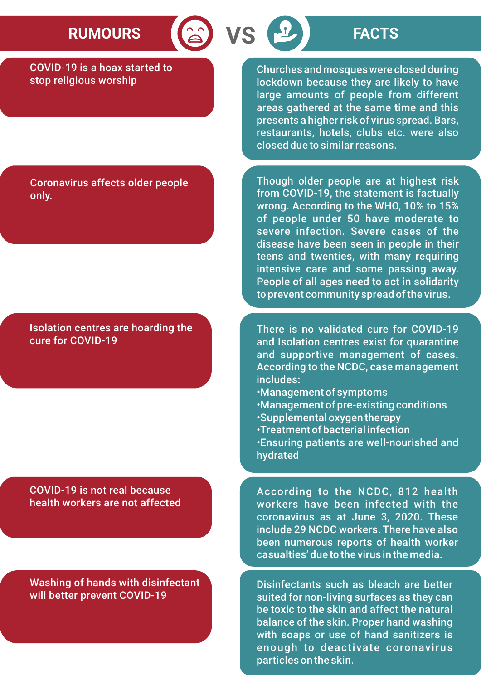# RUMOURS **8 VS P FACTS**

COVID-19 is a hoax started to stop religious worship

Churches and mosques were closed during lockdown because they are likely to have large amounts of people from different areas gathered at the same time and this presents a higher risk of virus spread. Bars, restaurants, hotels, clubs etc. were also closed due to similar reasons.

Coronavirus affects older people only.

Isolation centres are hoarding the cure for COVID-19

COVID-19 is not real because health workers are not affected

Washing of hands with disinfectant will better prevent COVID-19

Though older people are at highest risk from COVID-19, the statement is factually wrong. According to the WHO, 10% to 15% of people under 50 have moderate to severe infection. Severe cases of the disease have been seen in people in their teens and twenties, with many requiring intensive care and some passing away. People of all ages need to act in solidarity to prevent community spread of the virus.

There is no validated cure for COVID-19 and Isolation centres exist for quarantine and supportive management of cases. According to the NCDC, case management includes:

- Management of symptoms
- Management of pre-existing conditions
- Supplemental oxygen therapy
- Treatment of bacterial infection

• Ensuring patients are well-nourished and hydrated

According to the NCDC, 812 health workers have been infected with the coronavirus as at June 3, 2020. These include 29 NCDC workers. There have also been numerous reports of health worker casualties' due to the virus in the media.

Disinfectants such as bleach are better suited for non-living surfaces as they can be toxic to the skin and affect the natural balance of the skin. Proper hand washing with soaps or use of hand sanitizers is enough to deactivate coronavirus particles on the skin.